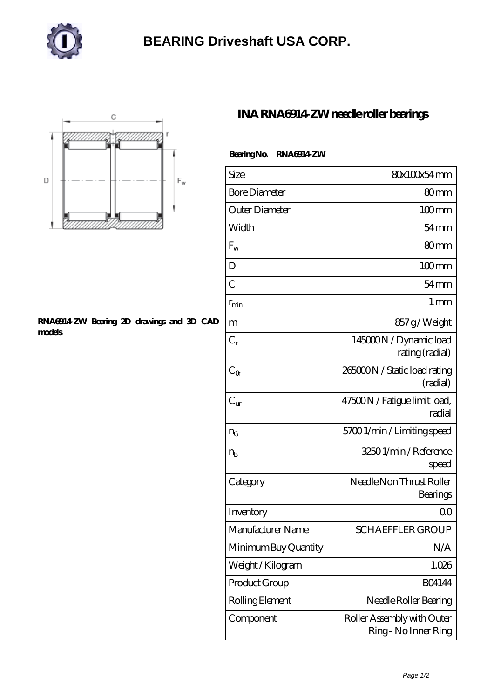

## **[BEARING Driveshaft USA CORP.](https://henschel-at.com)**



## **[RNA6914-ZW Bearing 2D drawings and 3D CAD](https://henschel-at.com/pic-354185.html) [models](https://henschel-at.com/pic-354185.html)**

## **[INA RNA6914-ZW needle roller bearings](https://henschel-at.com/ina-rna6914-zw-bearing/)**

|  | Bearing No. RNA6914 ZW |
|--|------------------------|
|--|------------------------|

| Size                 | 80x100x54mm                                        |
|----------------------|----------------------------------------------------|
| <b>Bore Diameter</b> | 80 <sub>mm</sub>                                   |
| Outer Diameter       | $100$ <sub>mm</sub>                                |
| Width                | $54 \text{mm}$                                     |
| $F_{w}$              | 80 <sub>mm</sub>                                   |
| D                    | $100$ mm                                           |
| $\overline{C}$       | $54 \text{mm}$                                     |
| $r_{\rm min}$        | $1 \,\mathrm{mm}$                                  |
| m                    | 857g/Weight                                        |
| $C_r$                | 145000N / Dynamic load<br>rating (radial)          |
| $C_{\Omega}$         | 265000N / Static load rating<br>(radial)           |
| $C_{\rm ur}$         | 47500N / Fatigue limit load,<br>radial             |
| $n_{G}$              | 57001/min/Limitingspeed                            |
| $n_{B}$              | 32501/min/Reference<br>speed                       |
| Category             | Needle Non Thrust Roller<br>Bearings               |
| Inventory            | 0 <sub>0</sub>                                     |
| Manufacturer Name    | <b>SCHAEFFLER GROUP</b>                            |
| Minimum Buy Quantity | N/A                                                |
| Weight /Kilogram     | 1.026                                              |
| Product Group        | <b>BO4144</b>                                      |
| Rolling Element      | Needle Roller Bearing                              |
| Component            | Roller Assembly with Outer<br>Ring - No Inner Ring |